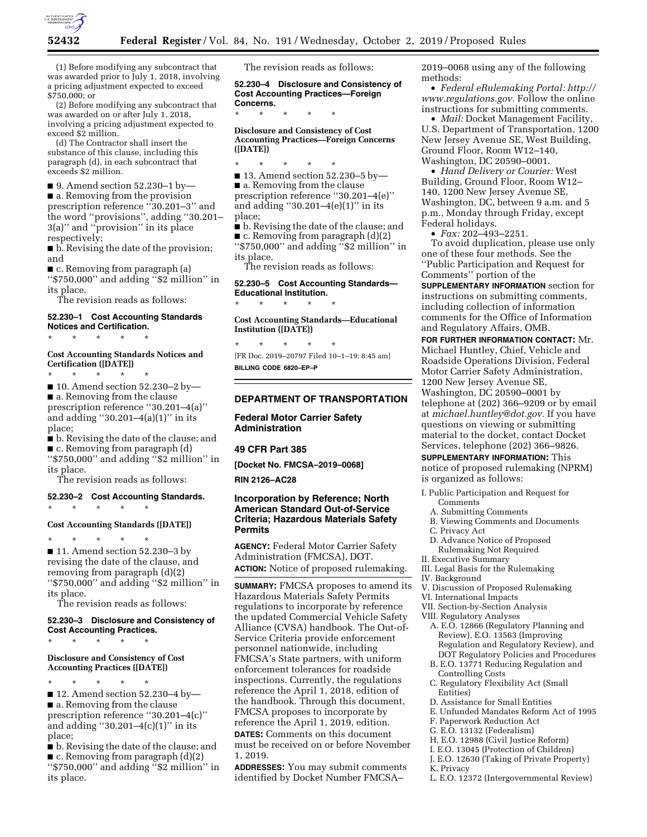

(1) Before modifying any subcontract that was awarded prior to July 1, 2018, involving a pricing adjustment expected to exceed \$750,000; or

(2) Before modifying any subcontract that was awarded on or after July 1, 2018, involving a pricing adjustment expected to exceed \$2 million.

(d) The Contractor shall insert the substance of this clause, including this paragraph (d), in each subcontract that exceeds \$2 million.

■ 9. Amend section 52.230–1 by— ■ a. Removing from the provision prescription reference ''30.201–3'' and the word ''provisions'', adding ''30.201– 3(a)'' and ''provision'' in its place respectively;

■ b. Revising the date of the provision; and

■ c. Removing from paragraph (a) ''\$750,000'' and adding ''\$2 million'' in its place.

The revision reads as follows:

#### **52.230–1 Cost Accounting Standards Notices and Certification.**

\* \* \* \* \*

## **Cost Accounting Standards Notices and Certification ([DATE])**

\* \* \* \* \*

■ 10. Amend section 52.230–2 by— ■ a. Removing from the clause prescription reference ''30.201–4(a)'' and adding  $"30.201-4(a)(1)"$  in its place;

■ b. Revising the date of the clause; and ■ c. Removing from paragraph (d)

''\$750,000'' and adding ''\$2 million'' in its place.

The revision reads as follows:

# **52.230–2 Cost Accounting Standards.**  \* \* \* \* \*

#### **Cost Accounting Standards ([DATE])**

\* \* \* \* \* ■ 11. Amend section 52.230–3 by revising the date of the clause, and removing from paragraph (d)(2) ''\$750,000'' and adding ''\$2 million'' in its place.

The revision reads as follows:

#### **52.230–3 Disclosure and Consistency of Cost Accounting Practices.**

\* \* \* \* \*

### **Disclosure and Consistency of Cost Accounting Practices ([DATE])**

\* \* \* \* \* ■ 12. Amend section 52.230–4 by— ■ a. Removing from the clause prescription reference ''30.201–4(c)'' and adding "30.201 $-4(c)(1)$ " in its place;

■ b. Revising the date of the clause; and  $\blacksquare$  c. Removing from paragraph  $(d)(2)$ ''\$750,000'' and adding ''\$2 million'' in its place.

The revision reads as follows:

**52.230–4 Disclosure and Consistency of Cost Accounting Practices—Foreign Concerns.** 

**Disclosure and Consistency of Cost Accounting Practices—Foreign Concerns ([DATE])** 

\* \* \* \* \*

\* \* \* \* \*

■ 13. Amend section 52.230–5 by—

■ a. Removing from the clause prescription reference ''30.201–4(e)'' and adding "30.201 $-4(e)(1)$ " in its place;

■ b. Revising the date of the clause; and  $\blacksquare$  c. Removing from paragraph  $(d)(2)$ ''\$750,000'' and adding ''\$2 million'' in its place.

The revision reads as follows:

# **52.230–5 Cost Accounting Standards— Educational Institution.**

\* \* \* \* \*

**Cost Accounting Standards—Educational Institution ([DATE])** 

\* \* \* \* \* [FR Doc. 2019–20797 Filed 10–1–19; 8:45 am] **BILLING CODE 6820–EP–P** 

## **DEPARTMENT OF TRANSPORTATION**

# **Federal Motor Carrier Safety Administration**

### **49 CFR Part 385**

**[Docket No. FMCSA–2019–0068]** 

### **RIN 2126–AC28**

# **Incorporation by Reference; North American Standard Out-of-Service Criteria; Hazardous Materials Safety Permits**

**AGENCY:** Federal Motor Carrier Safety Administration (FMCSA), DOT. **ACTION:** Notice of proposed rulemaking.

**SUMMARY:** FMCSA proposes to amend its Hazardous Materials Safety Permits regulations to incorporate by reference the updated Commercial Vehicle Safety Alliance (CVSA) handbook. The Out-of-Service Criteria provide enforcement personnel nationwide, including FMCSA's State partners, with uniform enforcement tolerances for roadside inspections. Currently, the regulations reference the April 1, 2018, edition of the handbook. Through this document, FMCSA proposes to incorporate by reference the April 1, 2019, edition. **DATES:** Comments on this document must be received on or before November 1, 2019.

**ADDRESSES:** You may submit comments identified by Docket Number FMCSA–

2019–0068 using any of the following methods:

• *Federal eRulemaking Portal: [http://](http://www.regulations.gov)  [www.regulations.gov.](http://www.regulations.gov)* Follow the online instructions for submitting comments.

• *Mail:* Docket Management Facility, U.S. Department of Transportation, 1200 New Jersey Avenue SE, West Building, Ground Floor, Room W12–140, Washington, DC 20590–0001.

• *Hand Delivery or Courier:* West Building, Ground Floor, Room W12– 140, 1200 New Jersey Avenue SE, Washington, DC, between 9 a.m. and 5 p.m., Monday through Friday, except Federal holidays.

• *Fax:* 202–493–2251.

To avoid duplication, please use only one of these four methods. See the ''Public Participation and Request for Comments'' portion of the

**SUPPLEMENTARY INFORMATION** section for instructions on submitting comments, including collection of information comments for the Office of Information and Regulatory Affairs, OMB.

**FOR FURTHER INFORMATION CONTACT:** Mr. Michael Huntley, Chief, Vehicle and Roadside Operations Division, Federal Motor Carrier Safety Administration, 1200 New Jersey Avenue SE, Washington, DC 20590–0001 by telephone at (202) 366–9209 or by email at *[michael.huntley@dot.gov.](mailto:michael.huntley@dot.gov)* If you have questions on viewing or submitting material to the docket, contact Docket Services, telephone (202) 366–9826.

**SUPPLEMENTARY INFORMATION:** This notice of proposed rulemaking (NPRM)

is organized as follows:

- I. Public Participation and Request for Comments
	- A. Submitting Comments
	- B. Viewing Comments and Documents
	- C. Privacy Act
	- D. Advance Notice of Proposed
	- Rulemaking Not Required
- II. Executive Summary
- III. Legal Basis for the Rulemaking
- IV. Background
- V. Discussion of Proposed Rulemaking
- VI. International Impacts
- VII. Section-by-Section Analysis
- VIII. Regulatory Analyses
	- A. E.O. 12866 (Regulatory Planning and Review), E.O. 13563 (Improving Regulation and Regulatory Review), and DOT Regulatory Policies and Procedures
	- B. E.O. 13771 Reducing Regulation and Controlling Costs
	- C. Regulatory Flexibility Act (Small Entities)
	- D. Assistance for Small Entities
	- E. Unfunded Mandates Reform Act of 1995
	- F. Paperwork Reduction Act
	- G. E.O. 13132 (Federalism)
	- H. E.O. 12988 (Civil Justice Reform)
	- I. E.O. 13045 (Protection of Children)
	- J. E.O. 12630 (Taking of Private Property)
	- K. Privacy
	- L. E.O. 12372 (Intergovernmental Review)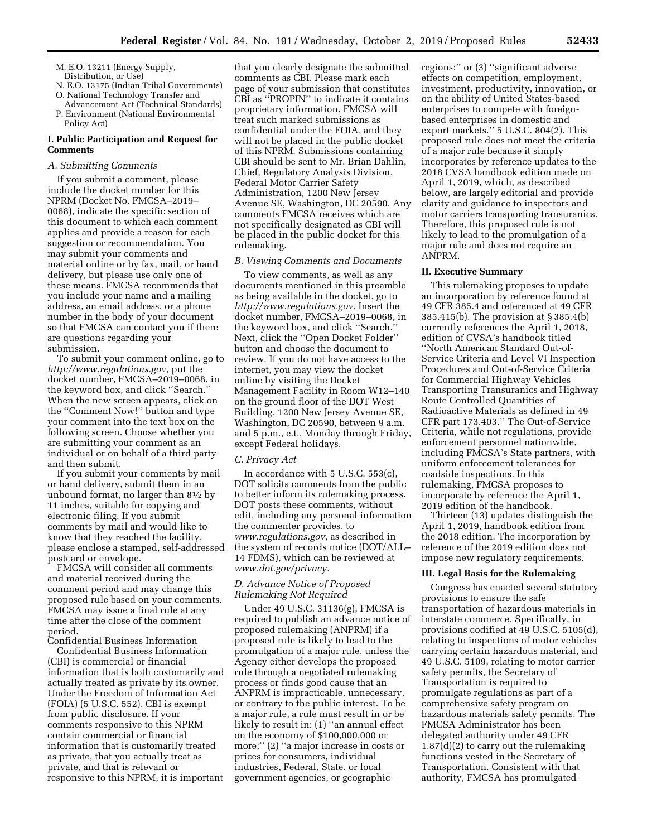- M. E.O. 13211 (Energy Supply, Distribution, or Use)
- N. E.O. 13175 (Indian Tribal Governments) O. National Technology Transfer and
- Advancement Act (Technical Standards) P. Environment (National Environmental Policy Act)

### **I. Public Participation and Request for Comments**

#### *A. Submitting Comments*

If you submit a comment, please include the docket number for this NPRM (Docket No. FMCSA–2019– 0068), indicate the specific section of this document to which each comment applies and provide a reason for each suggestion or recommendation. You may submit your comments and material online or by fax, mail, or hand delivery, but please use only one of these means. FMCSA recommends that you include your name and a mailing address, an email address, or a phone number in the body of your document so that FMCSA can contact you if there are questions regarding your submission.

To submit your comment online, go to *[http://www.regulations.gov,](http://www.regulations.gov)* put the docket number, FMCSA–2019–0068, in the keyword box, and click ''Search.'' When the new screen appears, click on the ''Comment Now!'' button and type your comment into the text box on the following screen. Choose whether you are submitting your comment as an individual or on behalf of a third party and then submit.

If you submit your comments by mail or hand delivery, submit them in an unbound format, no larger than  $8\frac{1}{2}$  by 11 inches, suitable for copying and electronic filing. If you submit comments by mail and would like to know that they reached the facility, please enclose a stamped, self-addressed postcard or envelope.

FMCSA will consider all comments and material received during the comment period and may change this proposed rule based on your comments. FMCSA may issue a final rule at any time after the close of the comment period.

Confidential Business Information Confidential Business Information (CBI) is commercial or financial information that is both customarily and actually treated as private by its owner. Under the Freedom of Information Act (FOIA) (5 U.S.C. 552), CBI is exempt from public disclosure. If your comments responsive to this NPRM contain commercial or financial information that is customarily treated as private, that you actually treat as

private, and that is relevant or responsive to this NPRM, it is important

that you clearly designate the submitted comments as CBI. Please mark each page of your submission that constitutes CBI as ''PROPIN'' to indicate it contains proprietary information. FMCSA will treat such marked submissions as confidential under the FOIA, and they will not be placed in the public docket of this NPRM. Submissions containing CBI should be sent to Mr. Brian Dahlin, Chief, Regulatory Analysis Division, Federal Motor Carrier Safety Administration, 1200 New Jersey Avenue SE, Washington, DC 20590. Any comments FMCSA receives which are not specifically designated as CBI will be placed in the public docket for this rulemaking.

### *B. Viewing Comments and Documents*

To view comments, as well as any documents mentioned in this preamble as being available in the docket, go to *[http://www.regulations.gov.](http://www.regulations.gov)* Insert the docket number, FMCSA–2019–0068, in the keyword box, and click ''Search.'' Next, click the ''Open Docket Folder'' button and choose the document to review. If you do not have access to the internet, you may view the docket online by visiting the Docket Management Facility in Room W12–140 on the ground floor of the DOT West Building, 1200 New Jersey Avenue SE, Washington, DC 20590, between 9 a.m. and 5 p.m., e.t., Monday through Friday, except Federal holidays.

#### *C. Privacy Act*

In accordance with 5 U.S.C. 553(c), DOT solicits comments from the public to better inform its rulemaking process. DOT posts these comments, without edit, including any personal information the commenter provides, to *[www.regulations.gov,](http://www.regulations.gov)* as described in the system of records notice (DOT/ALL– 14 FDMS), which can be reviewed at *[www.dot.gov/privacy.](http://www.dot.gov/privacy)* 

# *D. Advance Notice of Proposed Rulemaking Not Required*

Under 49 U.S.C. 31136(g), FMCSA is required to publish an advance notice of proposed rulemaking (ANPRM) if a proposed rule is likely to lead to the promulgation of a major rule, unless the Agency either develops the proposed rule through a negotiated rulemaking process or finds good cause that an ANPRM is impracticable, unnecessary, or contrary to the public interest. To be a major rule, a rule must result in or be likely to result in: (1) ''an annual effect on the economy of \$100,000,000 or more;'' (2) ''a major increase in costs or prices for consumers, individual industries, Federal, State, or local government agencies, or geographic

regions;'' or (3) ''significant adverse effects on competition, employment, investment, productivity, innovation, or on the ability of United States-based enterprises to compete with foreignbased enterprises in domestic and export markets.'' 5 U.S.C. 804(2). This proposed rule does not meet the criteria of a major rule because it simply incorporates by reference updates to the 2018 CVSA handbook edition made on April 1, 2019, which, as described below, are largely editorial and provide clarity and guidance to inspectors and motor carriers transporting transuranics. Therefore, this proposed rule is not likely to lead to the promulgation of a major rule and does not require an ANPRM.

#### **II. Executive Summary**

This rulemaking proposes to update an incorporation by reference found at 49 CFR 385.4 and referenced at 49 CFR 385.415(b). The provision at § 385.4(b) currently references the April 1, 2018, edition of CVSA's handbook titled ''North American Standard Out-of-Service Criteria and Level VI Inspection Procedures and Out-of-Service Criteria for Commercial Highway Vehicles Transporting Transuranics and Highway Route Controlled Quantities of Radioactive Materials as defined in 49 CFR part 173.403.'' The Out-of-Service Criteria, while not regulations, provide enforcement personnel nationwide, including FMCSA's State partners, with uniform enforcement tolerances for roadside inspections. In this rulemaking, FMCSA proposes to incorporate by reference the April 1, 2019 edition of the handbook.

Thirteen (13) updates distinguish the April 1, 2019, handbook edition from the 2018 edition. The incorporation by reference of the 2019 edition does not impose new regulatory requirements.

#### **III. Legal Basis for the Rulemaking**

Congress has enacted several statutory provisions to ensure the safe transportation of hazardous materials in interstate commerce. Specifically, in provisions codified at 49 U.S.C. 5105(d), relating to inspections of motor vehicles carrying certain hazardous material, and 49 U.S.C. 5109, relating to motor carrier safety permits, the Secretary of Transportation is required to promulgate regulations as part of a comprehensive safety program on hazardous materials safety permits. The FMCSA Administrator has been delegated authority under 49 CFR 1.87(d)(2) to carry out the rulemaking functions vested in the Secretary of Transportation. Consistent with that authority, FMCSA has promulgated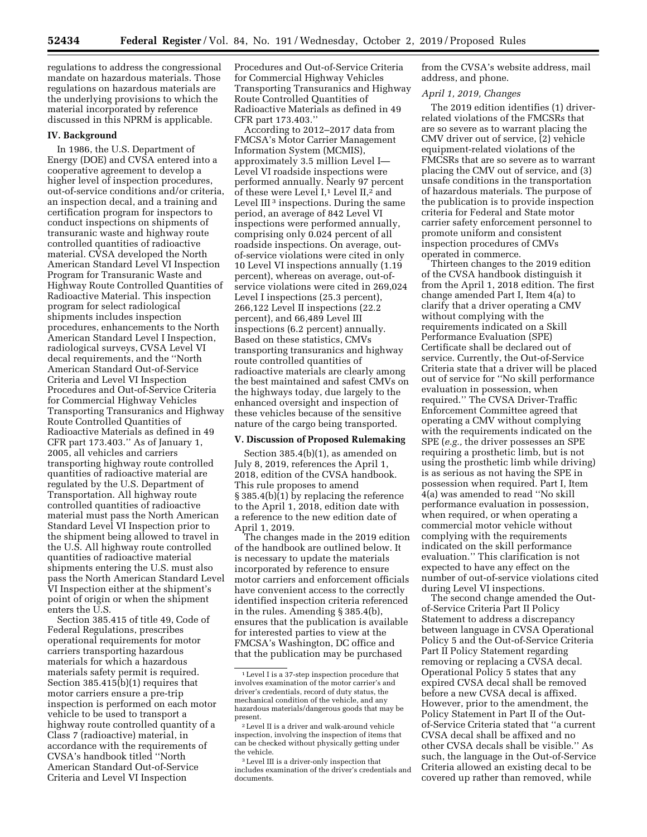regulations to address the congressional mandate on hazardous materials. Those regulations on hazardous materials are the underlying provisions to which the material incorporated by reference discussed in this NPRM is applicable.

#### **IV. Background**

In 1986, the U.S. Department of Energy (DOE) and CVSA entered into a cooperative agreement to develop a higher level of inspection procedures, out-of-service conditions and/or criteria, an inspection decal, and a training and certification program for inspectors to conduct inspections on shipments of transuranic waste and highway route controlled quantities of radioactive material. CVSA developed the North American Standard Level VI Inspection Program for Transuranic Waste and Highway Route Controlled Quantities of Radioactive Material. This inspection program for select radiological shipments includes inspection procedures, enhancements to the North American Standard Level I Inspection, radiological surveys, CVSA Level VI decal requirements, and the ''North American Standard Out-of-Service Criteria and Level VI Inspection Procedures and Out-of-Service Criteria for Commercial Highway Vehicles Transporting Transuranics and Highway Route Controlled Quantities of Radioactive Materials as defined in 49 CFR part 173.403.'' As of January 1, 2005, all vehicles and carriers transporting highway route controlled quantities of radioactive material are regulated by the U.S. Department of Transportation. All highway route controlled quantities of radioactive material must pass the North American Standard Level VI Inspection prior to the shipment being allowed to travel in the U.S. All highway route controlled quantities of radioactive material shipments entering the U.S. must also pass the North American Standard Level VI Inspection either at the shipment's point of origin or when the shipment enters the U.S.

Section 385.415 of title 49, Code of Federal Regulations, prescribes operational requirements for motor carriers transporting hazardous materials for which a hazardous materials safety permit is required. Section 385.415(b)(1) requires that motor carriers ensure a pre-trip inspection is performed on each motor vehicle to be used to transport a highway route controlled quantity of a Class 7 (radioactive) material, in accordance with the requirements of CVSA's handbook titled ''North American Standard Out-of-Service Criteria and Level VI Inspection

Procedures and Out-of-Service Criteria for Commercial Highway Vehicles Transporting Transuranics and Highway Route Controlled Quantities of Radioactive Materials as defined in 49 CFR part 173.403.''

According to 2012–2017 data from FMCSA's Motor Carrier Management Information System (MCMIS), approximately 3.5 million Level I— Level VI roadside inspections were performed annually. Nearly 97 percent of these were Level I,<sup>1</sup> Level II,<sup>2</sup> and Level III<sup>3</sup> inspections. During the same period, an average of 842 Level VI inspections were performed annually, comprising only 0.024 percent of all roadside inspections. On average, outof-service violations were cited in only 10 Level VI inspections annually (1.19 percent), whereas on average, out-ofservice violations were cited in 269,024 Level I inspections (25.3 percent), 266,122 Level II inspections (22.2 percent), and 66,489 Level III inspections (6.2 percent) annually. Based on these statistics, CMVs transporting transuranics and highway route controlled quantities of radioactive materials are clearly among the best maintained and safest CMVs on the highways today, due largely to the enhanced oversight and inspection of these vehicles because of the sensitive nature of the cargo being transported.

### **V. Discussion of Proposed Rulemaking**

Section 385.4(b)(1), as amended on July 8, 2019, references the April 1, 2018, edition of the CVSA handbook. This rule proposes to amend § 385.4(b)(1) by replacing the reference to the April 1, 2018, edition date with a reference to the new edition date of April 1, 2019.

The changes made in the 2019 edition of the handbook are outlined below. It is necessary to update the materials incorporated by reference to ensure motor carriers and enforcement officials have convenient access to the correctly identified inspection criteria referenced in the rules. Amending § 385.4(b), ensures that the publication is available for interested parties to view at the FMCSA's Washington, DC office and that the publication may be purchased

from the CVSA's website address, mail address, and phone.

#### *April 1, 2019, Changes*

The 2019 edition identifies (1) driverrelated violations of the FMCSRs that are so severe as to warrant placing the CMV driver out of service, (2) vehicle equipment-related violations of the FMCSRs that are so severe as to warrant placing the CMV out of service, and (3) unsafe conditions in the transportation of hazardous materials. The purpose of the publication is to provide inspection criteria for Federal and State motor carrier safety enforcement personnel to promote uniform and consistent inspection procedures of CMVs operated in commerce.

Thirteen changes to the 2019 edition of the CVSA handbook distinguish it from the April 1, 2018 edition. The first change amended Part I, Item 4(a) to clarify that a driver operating a CMV without complying with the requirements indicated on a Skill Performance Evaluation (SPE) Certificate shall be declared out of service. Currently, the Out-of-Service Criteria state that a driver will be placed out of service for ''No skill performance evaluation in possession, when required.'' The CVSA Driver-Traffic Enforcement Committee agreed that operating a CMV without complying with the requirements indicated on the SPE (*e.g.,* the driver possesses an SPE requiring a prosthetic limb, but is not using the prosthetic limb while driving) is as serious as not having the SPE in possession when required. Part I, Item 4(a) was amended to read ''No skill performance evaluation in possession, when required, or when operating a commercial motor vehicle without complying with the requirements indicated on the skill performance evaluation.'' This clarification is not expected to have any effect on the number of out-of-service violations cited during Level VI inspections.

The second change amended the Outof-Service Criteria Part II Policy Statement to address a discrepancy between language in CVSA Operational Policy 5 and the Out-of-Service Criteria Part II Policy Statement regarding removing or replacing a CVSA decal. Operational Policy 5 states that any expired CVSA decal shall be removed before a new CVSA decal is affixed. However, prior to the amendment, the Policy Statement in Part II of the Outof-Service Criteria stated that ''a current CVSA decal shall be affixed and no other CVSA decals shall be visible.'' As such, the language in the Out-of-Service Criteria allowed an existing decal to be covered up rather than removed, while

<sup>1</sup>Level I is a 37-step inspection procedure that involves examination of the motor carrier's and driver's credentials, record of duty status, the mechanical condition of the vehicle, and any hazardous materials/dangerous goods that may be present.

<sup>2</sup>Level II is a driver and walk-around vehicle inspection, involving the inspection of items that can be checked without physically getting under the vehicle.

<sup>3</sup>Level III is a driver-only inspection that includes examination of the driver's credentials and documents.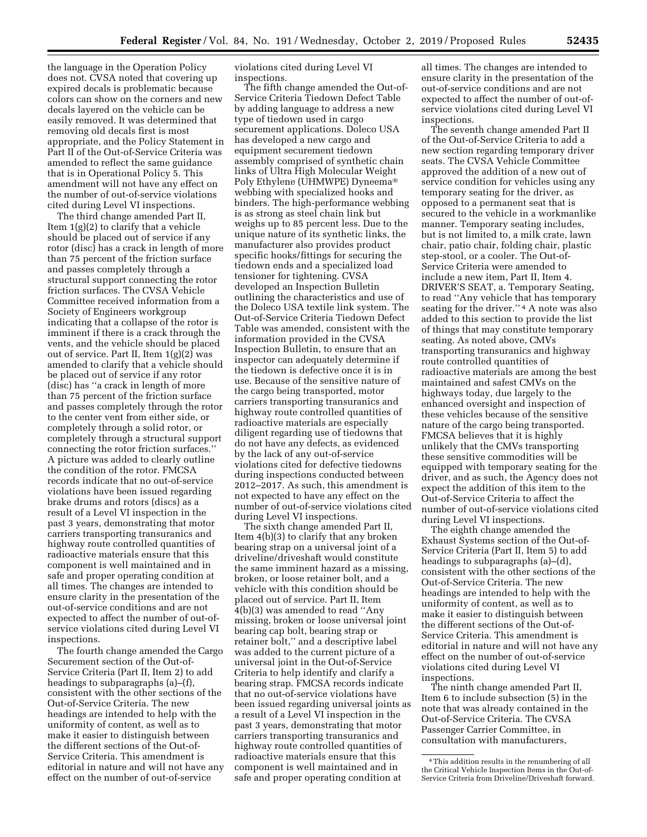the language in the Operation Policy does not. CVSA noted that covering up expired decals is problematic because colors can show on the corners and new decals layered on the vehicle can be easily removed. It was determined that removing old decals first is most appropriate, and the Policy Statement in Part II of the Out-of-Service Criteria was amended to reflect the same guidance that is in Operational Policy 5. This amendment will not have any effect on the number of out-of-service violations cited during Level VI inspections.

The third change amended Part II, Item 1(g)(2) to clarify that a vehicle should be placed out of service if any rotor (disc) has a crack in length of more than 75 percent of the friction surface and passes completely through a structural support connecting the rotor friction surfaces. The CVSA Vehicle Committee received information from a Society of Engineers workgroup indicating that a collapse of the rotor is imminent if there is a crack through the vents, and the vehicle should be placed out of service. Part II, Item 1(g)(2) was amended to clarify that a vehicle should be placed out of service if any rotor (disc) has ''a crack in length of more than 75 percent of the friction surface and passes completely through the rotor to the center vent from either side, or completely through a solid rotor, or completely through a structural support connecting the rotor friction surfaces.'' A picture was added to clearly outline the condition of the rotor. FMCSA records indicate that no out-of-service violations have been issued regarding brake drums and rotors (discs) as a result of a Level VI inspection in the past 3 years, demonstrating that motor carriers transporting transuranics and highway route controlled quantities of radioactive materials ensure that this component is well maintained and in safe and proper operating condition at all times. The changes are intended to ensure clarity in the presentation of the out-of-service conditions and are not expected to affect the number of out-ofservice violations cited during Level VI inspections.

The fourth change amended the Cargo Securement section of the Out-of-Service Criteria (Part II, Item 2) to add headings to subparagraphs (a)–(f), consistent with the other sections of the Out-of-Service Criteria. The new headings are intended to help with the uniformity of content, as well as to make it easier to distinguish between the different sections of the Out-of-Service Criteria. This amendment is editorial in nature and will not have any effect on the number of out-of-service

violations cited during Level VI inspections.

The fifth change amended the Out-of-Service Criteria Tiedown Defect Table by adding language to address a new type of tiedown used in cargo securement applications. Doleco USA has developed a new cargo and equipment securement tiedown assembly comprised of synthetic chain links of Ultra High Molecular Weight Poly Ethylene (UHMWPE) Dyneema® webbing with specialized hooks and binders. The high-performance webbing is as strong as steel chain link but weighs up to 85 percent less. Due to the unique nature of its synthetic links, the manufacturer also provides product specific hooks/fittings for securing the tiedown ends and a specialized load tensioner for tightening. CVSA developed an Inspection Bulletin outlining the characteristics and use of the Doleco USA textile link system. The Out-of-Service Criteria Tiedown Defect Table was amended, consistent with the information provided in the CVSA Inspection Bulletin, to ensure that an inspector can adequately determine if the tiedown is defective once it is in use. Because of the sensitive nature of the cargo being transported, motor carriers transporting transuranics and highway route controlled quantities of radioactive materials are especially diligent regarding use of tiedowns that do not have any defects, as evidenced by the lack of any out-of-service violations cited for defective tiedowns during inspections conducted between 2012–2017. As such, this amendment is not expected to have any effect on the number of out-of-service violations cited during Level VI inspections.

The sixth change amended Part II, Item 4(b)(3) to clarify that any broken bearing strap on a universal joint of a driveline/driveshaft would constitute the same imminent hazard as a missing, broken, or loose retainer bolt, and a vehicle with this condition should be placed out of service. Part II, Item 4(b)(3) was amended to read ''Any missing, broken or loose universal joint bearing cap bolt, bearing strap or retainer bolt,'' and a descriptive label was added to the current picture of a universal joint in the Out-of-Service Criteria to help identify and clarify a bearing strap. FMCSA records indicate that no out-of-service violations have been issued regarding universal joints as a result of a Level VI inspection in the past 3 years, demonstrating that motor carriers transporting transuranics and highway route controlled quantities of radioactive materials ensure that this component is well maintained and in safe and proper operating condition at

all times. The changes are intended to ensure clarity in the presentation of the out-of-service conditions and are not expected to affect the number of out-ofservice violations cited during Level VI inspections.

The seventh change amended Part II of the Out-of-Service Criteria to add a new section regarding temporary driver seats. The CVSA Vehicle Committee approved the addition of a new out of service condition for vehicles using any temporary seating for the driver, as opposed to a permanent seat that is secured to the vehicle in a workmanlike manner. Temporary seating includes, but is not limited to, a milk crate, lawn chair, patio chair, folding chair, plastic step-stool, or a cooler. The Out-of-Service Criteria were amended to include a new item, Part II, Item 4. DRIVER'S SEAT, a. Temporary Seating, to read ''Any vehicle that has temporary seating for the driver."<sup>4</sup> A note was also added to this section to provide the list of things that may constitute temporary seating. As noted above, CMVs transporting transuranics and highway route controlled quantities of radioactive materials are among the best maintained and safest CMVs on the highways today, due largely to the enhanced oversight and inspection of these vehicles because of the sensitive nature of the cargo being transported. FMCSA believes that it is highly unlikely that the CMVs transporting these sensitive commodities will be equipped with temporary seating for the driver, and as such, the Agency does not expect the addition of this item to the Out-of-Service Criteria to affect the number of out-of-service violations cited during Level VI inspections.

The eighth change amended the Exhaust Systems section of the Out-of-Service Criteria (Part II, Item 5) to add headings to subparagraphs (a)–(d), consistent with the other sections of the Out-of-Service Criteria. The new headings are intended to help with the uniformity of content, as well as to make it easier to distinguish between the different sections of the Out-of-Service Criteria. This amendment is editorial in nature and will not have any effect on the number of out-of-service violations cited during Level VI inspections.

The ninth change amended Part II, Item 6 to include subsection (5) in the note that was already contained in the Out-of-Service Criteria. The CVSA Passenger Carrier Committee, in consultation with manufacturers,

<sup>4</sup>This addition results in the renumbering of all the Critical Vehicle Inspection Items in the Out-of-Service Criteria from Driveline/Driveshaft forward.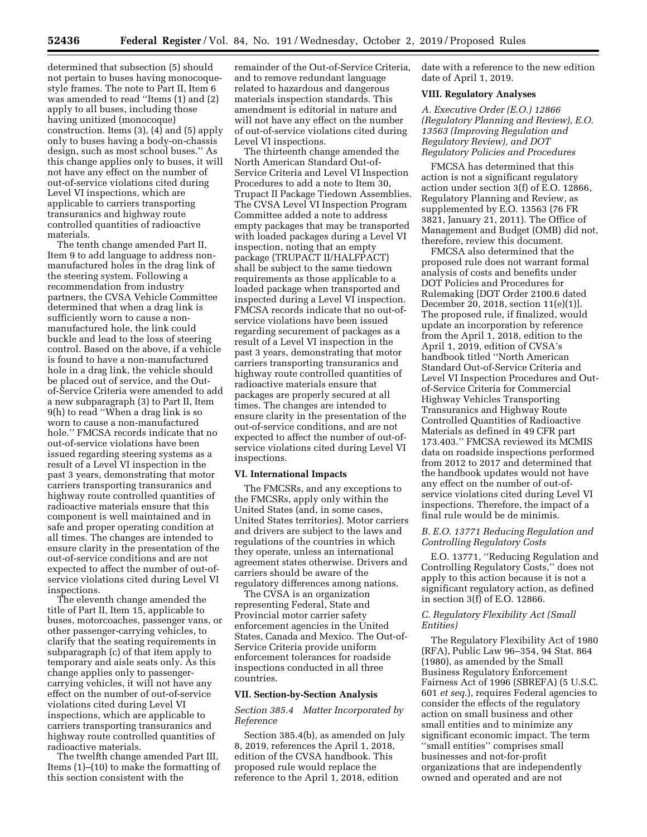determined that subsection (5) should not pertain to buses having monocoquestyle frames. The note to Part II, Item 6 was amended to read ''Items (1) and (2) apply to all buses, including those having unitized (monocoque) construction. Items (3), (4) and (5) apply only to buses having a body-on-chassis design, such as most school buses.'' As this change applies only to buses, it will not have any effect on the number of out-of-service violations cited during Level VI inspections, which are applicable to carriers transporting transuranics and highway route controlled quantities of radioactive materials.

The tenth change amended Part II, Item 9 to add language to address nonmanufactured holes in the drag link of the steering system. Following a recommendation from industry partners, the CVSA Vehicle Committee determined that when a drag link is sufficiently worn to cause a nonmanufactured hole, the link could buckle and lead to the loss of steering control. Based on the above, if a vehicle is found to have a non-manufactured hole in a drag link, the vehicle should be placed out of service, and the Outof-Service Criteria were amended to add a new subparagraph (3) to Part II, Item 9(h) to read ''When a drag link is so worn to cause a non-manufactured hole.'' FMCSA records indicate that no out-of-service violations have been issued regarding steering systems as a result of a Level VI inspection in the past 3 years, demonstrating that motor carriers transporting transuranics and highway route controlled quantities of radioactive materials ensure that this component is well maintained and in safe and proper operating condition at all times. The changes are intended to ensure clarity in the presentation of the out-of-service conditions and are not expected to affect the number of out-ofservice violations cited during Level VI inspections.

The eleventh change amended the title of Part II, Item 15, applicable to buses, motorcoaches, passenger vans, or other passenger-carrying vehicles, to clarify that the seating requirements in subparagraph (c) of that item apply to temporary and aisle seats only. As this change applies only to passengercarrying vehicles, it will not have any effect on the number of out-of-service violations cited during Level VI inspections, which are applicable to carriers transporting transuranics and highway route controlled quantities of radioactive materials.

The twelfth change amended Part III, Items (1)–(10) to make the formatting of this section consistent with the

remainder of the Out-of-Service Criteria, and to remove redundant language related to hazardous and dangerous materials inspection standards. This amendment is editorial in nature and will not have any effect on the number of out-of-service violations cited during Level VI inspections.

The thirteenth change amended the North American Standard Out-of-Service Criteria and Level VI Inspection Procedures to add a note to Item 30, Trupact II Package Tiedown Assemblies. The CVSA Level VI Inspection Program Committee added a note to address empty packages that may be transported with loaded packages during a Level VI inspection, noting that an empty package (TRUPACT II/HALFPACT) shall be subject to the same tiedown requirements as those applicable to a loaded package when transported and inspected during a Level VI inspection. FMCSA records indicate that no out-ofservice violations have been issued regarding securement of packages as a result of a Level VI inspection in the past 3 years, demonstrating that motor carriers transporting transuranics and highway route controlled quantities of radioactive materials ensure that packages are properly secured at all times. The changes are intended to ensure clarity in the presentation of the out-of-service conditions, and are not expected to affect the number of out-ofservice violations cited during Level VI inspections.

#### **VI. International Impacts**

The FMCSRs, and any exceptions to the FMCSRs, apply only within the United States (and, in some cases, United States territories). Motor carriers and drivers are subject to the laws and regulations of the countries in which they operate, unless an international agreement states otherwise. Drivers and carriers should be aware of the regulatory differences among nations.

The CVSA is an organization representing Federal, State and Provincial motor carrier safety enforcement agencies in the United States, Canada and Mexico. The Out-of-Service Criteria provide uniform enforcement tolerances for roadside inspections conducted in all three countries.

#### **VII. Section-by-Section Analysis**

### *Section 385.4 Matter Incorporated by Reference*

Section 385.4(b), as amended on July 8, 2019, references the April 1, 2018, edition of the CVSA handbook. This proposed rule would replace the reference to the April 1, 2018, edition

date with a reference to the new edition date of April 1, 2019.

# **VIII. Regulatory Analyses**

*A. Executive Order (E.O.) 12866 (Regulatory Planning and Review), E.O. 13563 (Improving Regulation and Regulatory Review), and DOT Regulatory Policies and Procedures* 

FMCSA has determined that this action is not a significant regulatory action under section 3(f) of E.O. 12866, Regulatory Planning and Review, as supplemented by E.O. 13563 (76 FR 3821, January 21, 2011). The Office of Management and Budget (OMB) did not, therefore, review this document.

FMCSA also determined that the proposed rule does not warrant formal analysis of costs and benefits under DOT Policies and Procedures for Rulemaking [DOT Order 2100.6 dated December 20, 2018, section 11(e)(1)]. The proposed rule, if finalized, would update an incorporation by reference from the April 1, 2018, edition to the April 1, 2019, edition of CVSA's handbook titled ''North American Standard Out-of-Service Criteria and Level VI Inspection Procedures and Outof-Service Criteria for Commercial Highway Vehicles Transporting Transuranics and Highway Route Controlled Quantities of Radioactive Materials as defined in 49 CFR part 173.403.'' FMCSA reviewed its MCMIS data on roadside inspections performed from 2012 to 2017 and determined that the handbook updates would not have any effect on the number of out-ofservice violations cited during Level VI inspections. Therefore, the impact of a final rule would be de minimis.

### *B. E.O. 13771 Reducing Regulation and Controlling Regulatory Costs*

E.O. 13771, ''Reducing Regulation and Controlling Regulatory Costs,'' does not apply to this action because it is not a significant regulatory action, as defined in section 3(f) of E.O. 12866.

### *C. Regulatory Flexibility Act (Small Entities)*

The Regulatory Flexibility Act of 1980 (RFA), Public Law 96–354, 94 Stat. 864 (1980), as amended by the Small Business Regulatory Enforcement Fairness Act of 1996 (SBREFA) (5 U.S.C. 601 *et seq.*), requires Federal agencies to consider the effects of the regulatory action on small business and other small entities and to minimize any significant economic impact. The term ''small entities'' comprises small businesses and not-for-profit organizations that are independently owned and operated and are not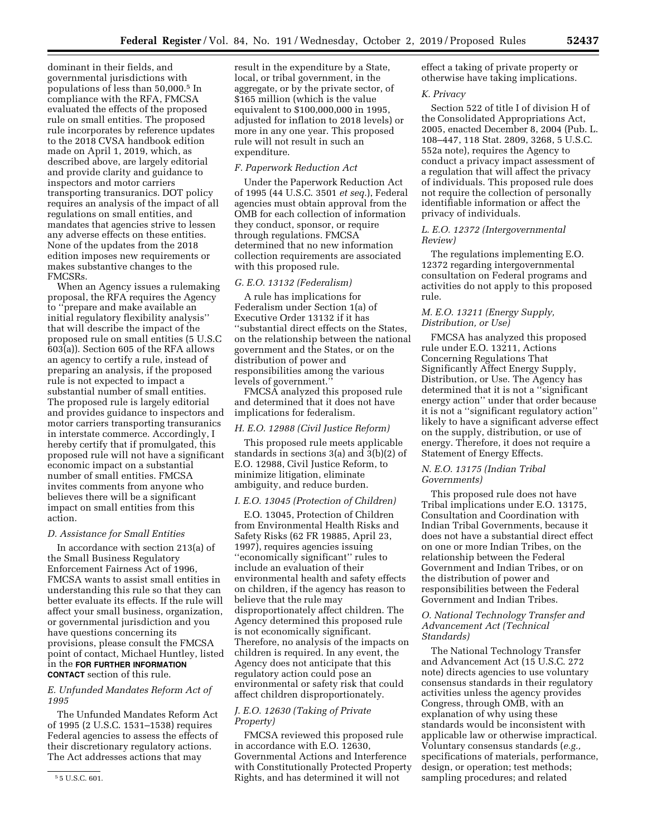dominant in their fields, and governmental jurisdictions with populations of less than 50,000.5 In compliance with the RFA, FMCSA evaluated the effects of the proposed rule on small entities. The proposed rule incorporates by reference updates to the 2018 CVSA handbook edition made on April 1, 2019, which, as described above, are largely editorial and provide clarity and guidance to inspectors and motor carriers transporting transuranics. DOT policy requires an analysis of the impact of all regulations on small entities, and mandates that agencies strive to lessen any adverse effects on these entities. None of the updates from the 2018 edition imposes new requirements or makes substantive changes to the FMCSRs.

When an Agency issues a rulemaking proposal, the RFA requires the Agency to ''prepare and make available an initial regulatory flexibility analysis'' that will describe the impact of the proposed rule on small entities (5 U.S.C 603(a)). Section 605 of the RFA allows an agency to certify a rule, instead of preparing an analysis, if the proposed rule is not expected to impact a substantial number of small entities. The proposed rule is largely editorial and provides guidance to inspectors and motor carriers transporting transuranics in interstate commerce. Accordingly, I hereby certify that if promulgated, this proposed rule will not have a significant economic impact on a substantial number of small entities. FMCSA invites comments from anyone who believes there will be a significant impact on small entities from this action.

### *D. Assistance for Small Entities*

In accordance with section 213(a) of the Small Business Regulatory Enforcement Fairness Act of 1996, FMCSA wants to assist small entities in understanding this rule so that they can better evaluate its effects. If the rule will affect your small business, organization, or governmental jurisdiction and you have questions concerning its provisions, please consult the FMCSA point of contact, Michael Huntley, listed in the **FOR FURTHER INFORMATION CONTACT** section of this rule.

# *E. Unfunded Mandates Reform Act of 1995*

The Unfunded Mandates Reform Act of 1995 (2 U.S.C. 1531–1538) requires Federal agencies to assess the effects of their discretionary regulatory actions. The Act addresses actions that may

result in the expenditure by a State, local, or tribal government, in the aggregate, or by the private sector, of \$165 million (which is the value equivalent to \$100,000,000 in 1995, adjusted for inflation to 2018 levels) or more in any one year. This proposed rule will not result in such an expenditure.

# *F. Paperwork Reduction Act*

Under the Paperwork Reduction Act of 1995 (44 U.S.C. 3501 *et seq.*), Federal agencies must obtain approval from the OMB for each collection of information they conduct, sponsor, or require through regulations. FMCSA determined that no new information collection requirements are associated with this proposed rule.

### *G. E.O. 13132 (Federalism)*

A rule has implications for Federalism under Section 1(a) of Executive Order 13132 if it has ''substantial direct effects on the States, on the relationship between the national government and the States, or on the distribution of power and responsibilities among the various levels of government.''

FMCSA analyzed this proposed rule and determined that it does not have implications for federalism.

#### *H. E.O. 12988 (Civil Justice Reform)*

This proposed rule meets applicable standards in sections 3(a) and 3(b)(2) of E.O. 12988, Civil Justice Reform, to minimize litigation, eliminate ambiguity, and reduce burden.

#### *I. E.O. 13045 (Protection of Children)*

E.O. 13045, Protection of Children from Environmental Health Risks and Safety Risks (62 FR 19885, April 23, 1997), requires agencies issuing ''economically significant'' rules to include an evaluation of their environmental health and safety effects on children, if the agency has reason to believe that the rule may disproportionately affect children. The Agency determined this proposed rule is not economically significant. Therefore, no analysis of the impacts on children is required. In any event, the Agency does not anticipate that this regulatory action could pose an environmental or safety risk that could affect children disproportionately.

# *J. E.O. 12630 (Taking of Private Property)*

FMCSA reviewed this proposed rule in accordance with E.O. 12630, Governmental Actions and Interference with Constitutionally Protected Property Rights, and has determined it will not

effect a taking of private property or otherwise have taking implications.

### *K. Privacy*

Section 522 of title I of division H of the Consolidated Appropriations Act, 2005, enacted December 8, 2004 (Pub. L. 108–447, 118 Stat. 2809, 3268, 5 U.S.C. 552a note), requires the Agency to conduct a privacy impact assessment of a regulation that will affect the privacy of individuals. This proposed rule does not require the collection of personally identifiable information or affect the privacy of individuals.

#### *L. E.O. 12372 (Intergovernmental Review)*

The regulations implementing E.O. 12372 regarding intergovernmental consultation on Federal programs and activities do not apply to this proposed rule.

# *M. E.O. 13211 (Energy Supply, Distribution, or Use)*

FMCSA has analyzed this proposed rule under E.O. 13211, Actions Concerning Regulations That Significantly Affect Energy Supply, Distribution, or Use. The Agency has determined that it is not a ''significant energy action'' under that order because it is not a ''significant regulatory action'' likely to have a significant adverse effect on the supply, distribution, or use of energy. Therefore, it does not require a Statement of Energy Effects.

# *N. E.O. 13175 (Indian Tribal Governments)*

This proposed rule does not have Tribal implications under E.O. 13175, Consultation and Coordination with Indian Tribal Governments, because it does not have a substantial direct effect on one or more Indian Tribes, on the relationship between the Federal Government and Indian Tribes, or on the distribution of power and responsibilities between the Federal Government and Indian Tribes.

#### *O. National Technology Transfer and Advancement Act (Technical Standards)*

The National Technology Transfer and Advancement Act (15 U.S.C. 272 note) directs agencies to use voluntary consensus standards in their regulatory activities unless the agency provides Congress, through OMB, with an explanation of why using these standards would be inconsistent with applicable law or otherwise impractical. Voluntary consensus standards (*e.g.,*  specifications of materials, performance, design, or operation; test methods; sampling procedures; and related

<sup>5</sup> 5 U.S.C. 601.